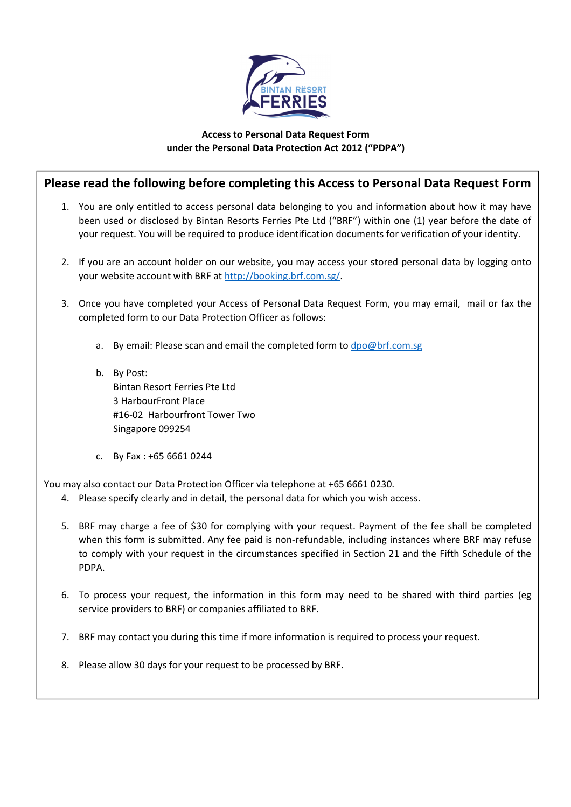

## Access to Personal Data Request Form under the Personal Data Protection Act 2012 ("PDPA")

## Please read the following before completing this Access to Personal Data Request Form

- 1. You are only entitled to access personal data belonging to you and information about how it may have been used or disclosed by Bintan Resorts Ferries Pte Ltd ("BRF") within one (1) year before the date of your request. You will be required to produce identification documents for verification of your identity.
- 2. If you are an account holder on our website, you may access your stored personal data by logging onto your website account with BRF at http://booking.brf.com.sg/.
- 3. Once you have completed your Access of Personal Data Request Form, you may email, mail or fax the completed form to our Data Protection Officer as follows:
	- a. By email: Please scan and email the completed form to dpo@brf.com.sg
	- b. By Post: Bintan Resort Ferries Pte Ltd 3 HarbourFront Place #16-02 Harbourfront Tower Two Singapore 099254
	- c. By Fax : +65 6661 0244

You may also contact our Data Protection Officer via telephone at +65 6661 0230.

- 4. Please specify clearly and in detail, the personal data for which you wish access.
- 5. BRF may charge a fee of \$30 for complying with your request. Payment of the fee shall be completed when this form is submitted. Any fee paid is non-refundable, including instances where BRF may refuse to comply with your request in the circumstances specified in Section 21 and the Fifth Schedule of the PDPA.
- 6. To process your request, the information in this form may need to be shared with third parties (eg service providers to BRF) or companies affiliated to BRF.
- 7. BRF may contact you during this time if more information is required to process your request.
- 8. Please allow 30 days for your request to be processed by BRF.